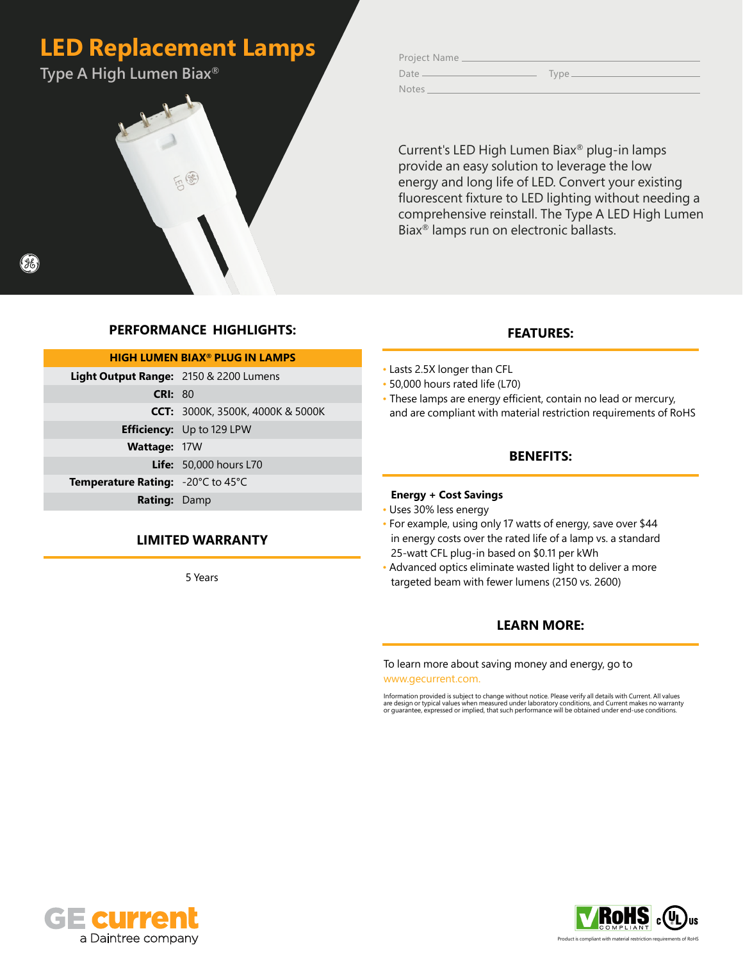# **LED Replacement Lamps**

**Type A High Lumen Biax®**



Project Name Date Type Notes

Current's LED High Lumen Biax® plug-in lamps provide an easy solution to leverage the low energy and long life of LED. Convert your existing fluorescent fixture to LED lighting without needing a comprehensive reinstall. The Type A LED High Lumen Biax® lamps run on electronic ballasts.

### **PERFORMANCE HIGHLIGHTS:**

| <b>HIGH LUMEN BIAX<sup>®</sup> PLUG IN LAMPS</b> |                                         |  |  |  |  |  |  |  |  |
|--------------------------------------------------|-----------------------------------------|--|--|--|--|--|--|--|--|
| Light Output Range: 2150 & 2200 Lumens           |                                         |  |  |  |  |  |  |  |  |
| CRI: 80                                          |                                         |  |  |  |  |  |  |  |  |
|                                                  | <b>CCT:</b> 3000K, 3500K, 4000K & 5000K |  |  |  |  |  |  |  |  |
|                                                  | <b>Efficiency:</b> Up to 129 LPW        |  |  |  |  |  |  |  |  |
| <b>Wattage: 17W</b>                              |                                         |  |  |  |  |  |  |  |  |
|                                                  | <b>Life:</b> 50,000 hours L70           |  |  |  |  |  |  |  |  |
| <b>Temperature Rating:</b> -20°C to 45°C         |                                         |  |  |  |  |  |  |  |  |
| <b>Rating: Damp</b>                              |                                         |  |  |  |  |  |  |  |  |

### **LIMITED WARRANTY**

5 Years

#### **FEATURES:**

- Lasts 2.5X longer than CFL • 50,000 hours rated life (L70) • These lamps are energy efficient, contain no lead or mercury,
	- and are compliant with material restriction requirements of RoHS

#### **BENEFITS:**

#### **Energy + Cost Savings**

- Uses 30% less energy
- For example, using only 17 watts of energy, save over \$44 in energy costs over the rated life of a lamp vs. a standard 25-watt CFL plug-in based on \$0.11 per kWh
- Advanced optics eliminate wasted light to deliver a more targeted beam with fewer lumens (2150 vs. 2600)

#### **LEARN MORE:**

To learn more about saving money and energy, go to www.gecurrent.com.

Information provided is subject to change without notice. Please verify all details with Current. All values<br>are design or typical values when measured under laboratory conditions, and Current makes no warranty<br>or guarante